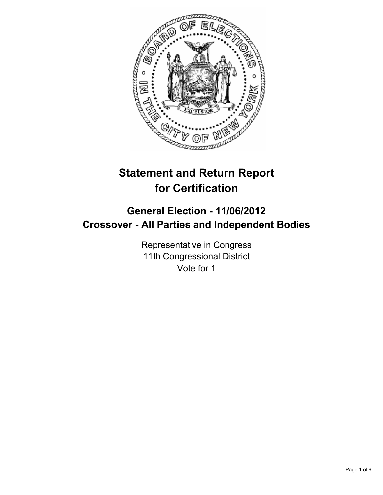

# **Statement and Return Report for Certification**

## **General Election - 11/06/2012 Crossover - All Parties and Independent Bodies**

Representative in Congress 11th Congressional District Vote for 1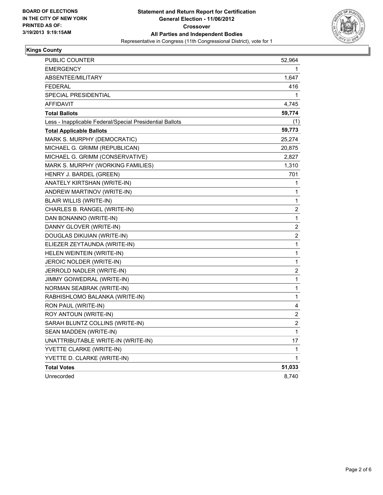

### **Kings County**

| PUBLIC COUNTER                                           | 52,964           |
|----------------------------------------------------------|------------------|
| <b>EMERGENCY</b>                                         | 1                |
| ABSENTEE/MILITARY                                        | 1,647            |
| <b>FEDERAL</b>                                           | 416              |
| SPECIAL PRESIDENTIAL                                     | 1                |
| <b>AFFIDAVIT</b>                                         | 4,745            |
| <b>Total Ballots</b>                                     | 59,774           |
| Less - Inapplicable Federal/Special Presidential Ballots | (1)              |
| <b>Total Applicable Ballots</b>                          | 59,773           |
| MARK S. MURPHY (DEMOCRATIC)                              | 25,274           |
| MICHAEL G. GRIMM (REPUBLICAN)                            | 20,875           |
| MICHAEL G. GRIMM (CONSERVATIVE)                          | 2,827            |
| MARK S. MURPHY (WORKING FAMILIES)                        | 1,310            |
| HENRY J. BARDEL (GREEN)                                  | 701              |
| ANATELY KIRTSHAN (WRITE-IN)                              | 1                |
| ANDREW MARTINOV (WRITE-IN)                               | 1                |
| <b>BLAIR WILLIS (WRITE-IN)</b>                           | 1                |
| CHARLES B. RANGEL (WRITE-IN)                             | 2                |
| DAN BONANNO (WRITE-IN)                                   | 1                |
| DANNY GLOVER (WRITE-IN)                                  | 2                |
| DOUGLAS DIKIJIAN (WRITE-IN)                              | 2                |
| ELIEZER ZEYTAUNDA (WRITE-IN)                             | 1                |
| HELEN WEINTEIN (WRITE-IN)                                | 1                |
| JEROIC NOLDER (WRITE-IN)                                 | 1                |
| JERROLD NADLER (WRITE-IN)                                | 2                |
| JIMMY GOIWEDRAL (WRITE-IN)                               | 1                |
| NORMAN SEABRAK (WRITE-IN)                                | 1                |
| RABHISHLOMO BALANKA (WRITE-IN)                           | 1                |
| RON PAUL (WRITE-IN)                                      | 4                |
| ROY ANTOUN (WRITE-IN)                                    | $\boldsymbol{2}$ |
| SARAH BLUNTZ COLLINS (WRITE-IN)                          | $\boldsymbol{2}$ |
| SEAN MADDEN (WRITE-IN)                                   | 1                |
| UNATTRIBUTABLE WRITE-IN (WRITE-IN)                       | 17               |
| YVETTE CLARKE (WRITE-IN)                                 | 1                |
| YVETTE D. CLARKE (WRITE-IN)                              | 1                |
| <b>Total Votes</b>                                       | 51,033           |
| Unrecorded                                               | 8,740            |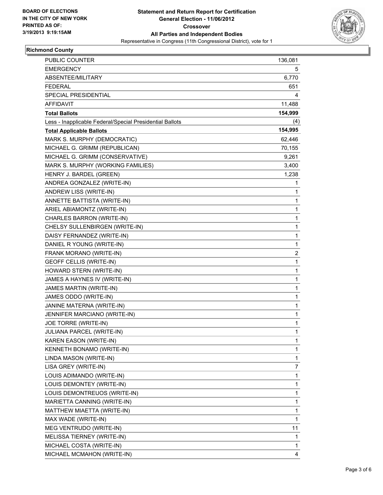

## **Richmond County**

| PUBLIC COUNTER                                           | 136,081      |
|----------------------------------------------------------|--------------|
| <b>EMERGENCY</b>                                         | 5            |
| ABSENTEE/MILITARY                                        | 6,770        |
| <b>FEDERAL</b>                                           | 651          |
| SPECIAL PRESIDENTIAL                                     | 4            |
| AFFIDAVIT                                                | 11,488       |
| <b>Total Ballots</b>                                     | 154,999      |
| Less - Inapplicable Federal/Special Presidential Ballots | (4)          |
| <b>Total Applicable Ballots</b>                          | 154,995      |
| MARK S. MURPHY (DEMOCRATIC)                              | 62,446       |
| MICHAEL G. GRIMM (REPUBLICAN)                            | 70,155       |
| MICHAEL G. GRIMM (CONSERVATIVE)                          | 9,261        |
| MARK S. MURPHY (WORKING FAMILIES)                        | 3,400        |
| HENRY J. BARDEL (GREEN)                                  | 1,238        |
| ANDREA GONZALEZ (WRITE-IN)                               | 1            |
| ANDREW LISS (WRITE-IN)                                   | 1            |
| ANNETTE BATTISTA (WRITE-IN)                              | 1            |
| ARIEL ABIAMONTZ (WRITE-IN)                               | 1            |
| CHARLES BARRON (WRITE-IN)                                | 1            |
| CHELSY SULLENBIRGEN (WRITE-IN)                           | 1            |
| DAISY FERNANDEZ (WRITE-IN)                               | 1            |
| DANIEL R YOUNG (WRITE-IN)                                | 1            |
| FRANK MORANO (WRITE-IN)                                  | 2            |
| <b>GEOFF CELLIS (WRITE-IN)</b>                           | 1            |
| HOWARD STERN (WRITE-IN)                                  | 1            |
| JAMES A HAYNES IV (WRITE-IN)                             | 1            |
| JAMES MARTIN (WRITE-IN)                                  | 1            |
| JAMES ODDO (WRITE-IN)                                    | 1            |
| JANINE MATERNA (WRITE-IN)                                | 1            |
| JENNIFER MARCIANO (WRITE-IN)                             | 1            |
| JOE TORRE (WRITE-IN)                                     | 1            |
| JULIANA PARCEL (WRITE-IN)                                | $\mathbf{1}$ |
| KAREN EASON (WRITE-IN)                                   | 1            |
| KENNETH BONAMO (WRITE-IN)                                | 1            |
| LINDA MASON (WRITE-IN)                                   | 1            |
| LISA GREY (WRITE-IN)                                     | 7            |
| LOUIS ADIMANDO (WRITE-IN)                                | 1            |
| LOUIS DEMONTEY (WRITE-IN)                                | 1            |
| LOUIS DEMONTREUOS (WRITE-IN)                             | 1            |
| MARIETTA CANNING (WRITE-IN)                              | 1            |
| MATTHEW MIAETTA (WRITE-IN)                               | 1            |
| MAX WADE (WRITE-IN)                                      | 1            |
| MEG VENTRUDO (WRITE-IN)                                  | 11           |
| MELISSA TIERNEY (WRITE-IN)                               | 1            |
| MICHAEL COSTA (WRITE-IN)                                 | 1            |
| MICHAEL MCMAHON (WRITE-IN)                               | 4            |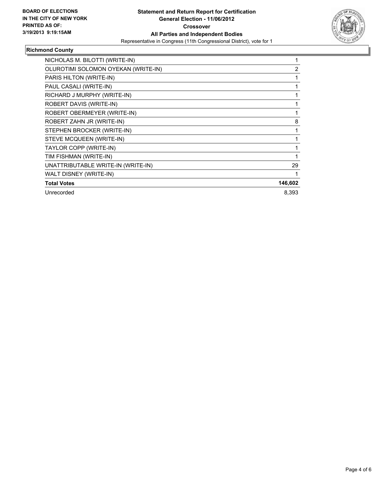

## **Richmond County**

| NICHOLAS M. BILOTTI (WRITE-IN)      |         |
|-------------------------------------|---------|
| OLUROTIMI SOLOMON OYEKAN (WRITE-IN) | 2       |
| PARIS HILTON (WRITE-IN)             |         |
| PAUL CASALI (WRITE-IN)              |         |
| RICHARD J MURPHY (WRITE-IN)         |         |
| ROBERT DAVIS (WRITE-IN)             |         |
| ROBERT OBERMEYER (WRITE-IN)         |         |
| ROBERT ZAHN JR (WRITE-IN)           | 8       |
| STEPHEN BROCKER (WRITE-IN)          |         |
| STEVE MCQUEEN (WRITE-IN)            |         |
| TAYLOR COPP (WRITE-IN)              |         |
| TIM FISHMAN (WRITE-IN)              |         |
| UNATTRIBUTABLE WRITE-IN (WRITE-IN)  | 29      |
| WALT DISNEY (WRITE-IN)              |         |
| <b>Total Votes</b>                  | 146,602 |
| Unrecorded                          | 8,393   |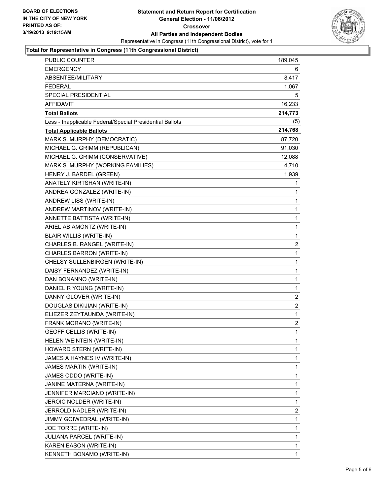

#### **Total for Representative in Congress (11th Congressional District)**

| PUBLIC COUNTER                                           | 189,045 |
|----------------------------------------------------------|---------|
| EMERGENCY                                                | 6       |
| ABSENTEE/MILITARY                                        | 8,417   |
| <b>FEDERAL</b>                                           | 1,067   |
| SPECIAL PRESIDENTIAL                                     | 5       |
| <b>AFFIDAVIT</b>                                         | 16,233  |
| <b>Total Ballots</b>                                     | 214,773 |
| Less - Inapplicable Federal/Special Presidential Ballots | (5)     |
| <b>Total Applicable Ballots</b>                          | 214,768 |
| MARK S. MURPHY (DEMOCRATIC)                              | 87,720  |
| MICHAEL G. GRIMM (REPUBLICAN)                            | 91,030  |
| MICHAEL G. GRIMM (CONSERVATIVE)                          | 12,088  |
| MARK S. MURPHY (WORKING FAMILIES)                        | 4,710   |
| HENRY J. BARDEL (GREEN)                                  | 1,939   |
| ANATELY KIRTSHAN (WRITE-IN)                              | 1       |
| ANDREA GONZALEZ (WRITE-IN)                               | 1       |
| ANDREW LISS (WRITE-IN)                                   | 1       |
| ANDREW MARTINOV (WRITE-IN)                               | 1       |
| ANNETTE BATTISTA (WRITE-IN)                              | 1       |
| ARIEL ABIAMONTZ (WRITE-IN)                               | 1       |
| <b>BLAIR WILLIS (WRITE-IN)</b>                           | 1       |
| CHARLES B. RANGEL (WRITE-IN)                             | 2       |
| CHARLES BARRON (WRITE-IN)                                | 1       |
| CHELSY SULLENBIRGEN (WRITE-IN)                           | 1       |
| DAISY FERNANDEZ (WRITE-IN)                               | 1       |
| DAN BONANNO (WRITE-IN)                                   | 1       |
| DANIEL R YOUNG (WRITE-IN)                                | 1       |
| DANNY GLOVER (WRITE-IN)                                  | 2       |
| DOUGLAS DIKIJIAN (WRITE-IN)                              | 2       |
| ELIEZER ZEYTAUNDA (WRITE-IN)                             | 1       |
| FRANK MORANO (WRITE-IN)                                  | 2       |
| <b>GEOFF CELLIS (WRITE-IN)</b>                           | 1       |
| HELEN WEINTEIN (WRITE-IN)                                | 1       |
| HOWARD STERN (WRITE-IN)                                  | 1       |
| JAMES A HAYNES IV (WRITE-IN)                             | 1       |
| JAMES MARTIN (WRITE-IN)                                  | 1       |
| JAMES ODDO (WRITE-IN)                                    | 1       |
| JANINE MATERNA (WRITE-IN)                                | 1       |
| JENNIFER MARCIANO (WRITE-IN)                             | 1       |
| JEROIC NOLDER (WRITE-IN)                                 | 1       |
| JERROLD NADLER (WRITE-IN)                                | 2       |
| JIMMY GOIWEDRAL (WRITE-IN)                               | 1       |
| JOE TORRE (WRITE-IN)                                     | 1       |
| JULIANA PARCEL (WRITE-IN)                                | 1       |
| KAREN EASON (WRITE-IN)                                   | 1       |
| KENNETH BONAMO (WRITE-IN)                                | 1       |
|                                                          |         |